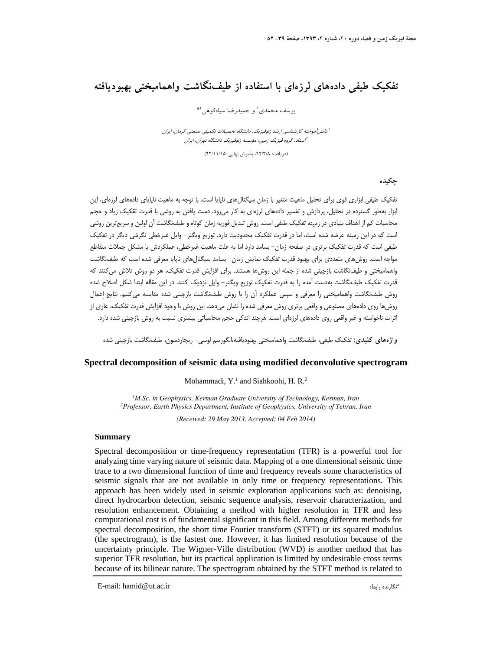# **تفكيك طيفي دادههاي لرزهاي با استفاده از طيفنگاشت واهماميختي بهبوديافته**

يوسف محمدي' و حميدرضا سياهكوهي<sup>\*</sup>

ا<br>ادانش آموخته كارشناسي ارشد ژئوفيزيك، دانشگاه تحصيلات تكميلي صنعتي كرمان، ايران استاد، گروه فيزيك زمين، مؤسسه ژئوفيزيك دانشگاه تهران، ايران <sup>2</sup>

(دريافت: ،92/3/8 پذيرش نهايي: 92/11/15)

## **چكيده**

تفكيك طيفي ابزاري قوي براي تحليل ماهيت متغير با زمان سيگنالهاي ناپايا است. با توجه به ماهيت ناپاياي دادههاي لرزهاي، اين ابزار بهطور گسترده در تحليل، پردازش و تفسير دادههاي لرزهاي به كار ميرود. دست يافتن به روشي با قدرت تقكيك زياد و حجم محاسبات كم از اهداف بنيادي در زمينه تفكيك طيفي است. روش تبديل فوريه زمان كوتاه و طيفنگاشت آن اولين و سريعترين روشي است كه در اين زمينه عرضه شده است، اما در قدرت تفكيك محدوديت دارد. توزيع ويگنر- وايل غيرخطي نگرشي ديگر در تفكيك طيفي است كه قدرت تفكيك برتري در صفحه زمان- بسامد دارد اما به علت ماهيت غيرخطي، عملكردش با مشكل جملات متقاطع مواجه است. روشهاي متعددي براي بهبود قدرت تفكيك نمايش زمان- بسامد سيگنالهاي ناپايا معرفي شده است كه طيفنگاشت واهماميختي و طيفنگاشت بازچيني شده از جمله اين روشها هستند. براي افزايش قدرت تفكيك، هر دو روش تلاش ميكنند كه قدرت تفكيك طيفنگاشت بهدست آمده را به قدرت تفكيك توزيع ويگنر- وايل نزديك كنند. در اين مقاله ابتدا شكل اصلاح شده روش طيفنگاشت واهماميختي را معرفي و سپس عملكرد آن را با روش طيفنگاشت بازچيني شده مقايسه ميكنيم. نتايج اِعمال روشها روي دادههاي مصنوعي و واقعي برتري روش معرفي شده را نشان ميدهد. اين روش با وجود افزايش قدرت تفكيك، عاري از اثرات ناخواسته و غير واقعي روي دادههاي لرزهاي است. هرچند اندكي حجم محاسباتي بيشتري نسبت به روش بازچيني شده دارد.

**واژههاي كليدي:** تفكيك طيفي، طيفنگاشت واهماميختي بهبوديافته،الگوريتم لوسي- ريچاردسون، طيفنگاشت بازچيني شده

## **Spectral decomposition of seismic data using modified deconvolutive spectrogram**

#### Mohammadi, Y.<sup>1</sup> and Siahkoohi, H. R.<sup>2</sup>

<sup>1</sup>M.Sc. in Geophysics, Kerman Graduate University of Technology, Kerman, Iran *Professor, Earth Physics Department, Institute of Geophysics, University of Tehran, Iran* 

*(Received: 29 May 2013, Accepted: 04 Feb 2014)*

#### **Summary**

Spectral decomposition or time-frequency representation (TFR) is a powerful tool for analyzing time varying nature of seismic data. Mapping of a one dimensional seismic time trace to a two dimensional function of time and frequency reveals some characteristics of seismic signals that are not available in only time or frequency representations. This approach has been widely used in seismic exploration applications such as: denoising, direct hydrocarbon detection, seismic sequence analysis, reservoir characterization, and resolution enhancement. Obtaining a method with higher resolution in TFR and less computational cost is of fundamental significant in this field. Among different methods for spectral decomposition, the short time Fourier transform (STFT) or its squared modulus (the spectrogram), is the fastest one. However, it has limited resolution because of the uncertainty principle. The Wigner-Ville distribution (WVD) is another method that has superior TFR resolution, but its practical application is limited by undesirable cross terms because of its bilinear nature. The spectrogram obtained by the STFT method is related to

\* E-mail: hamid@ut.ac.ir :رابط نگارنده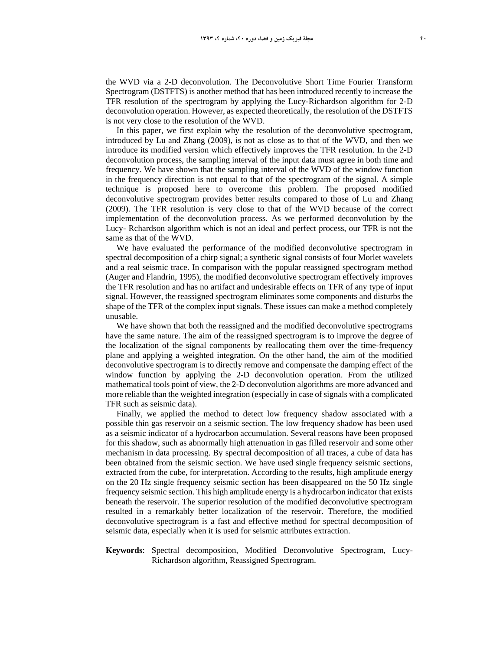the WVD via a 2-D deconvolution. The Deconvolutive Short Time Fourier Transform Spectrogram (DSTFTS) is another method that has been introduced recently to increase the TFR resolution of the spectrogram by applying the Lucy-Richardson algorithm for 2-D deconvolution operation. However, as expected theoretically, the resolution of the DSTFTS is not very close to the resolution of the WVD.

In this paper, we first explain why the resolution of the deconvolutive spectrogram, introduced by Lu and Zhang (2009), is not as close as to that of the WVD, and then we introduce its modified version which effectively improves the TFR resolution. In the 2-D deconvolution process, the sampling interval of the input data must agree in both time and frequency. We have shown that the sampling interval of the WVD of the window function in the frequency direction is not equal to that of the spectrogram of the signal. A simple technique is proposed here to overcome this problem. The proposed modified deconvolutive spectrogram provides better results compared to those of Lu and Zhang (2009). The TFR resolution is very close to that of the WVD because of the correct implementation of the deconvolution process. As we performed deconvolution by the Lucy- Rchardson algorithm which is not an ideal and perfect process, our TFR is not the same as that of the WVD.

We have evaluated the performance of the modified deconvolutive spectrogram in spectral decomposition of a chirp signal; a synthetic signal consists of four Morlet wavelets and a real seismic trace. In comparison with the popular reassigned spectrogram method (Auger and Flandrin, 1995), the modified deconvolutive spectrogram effectively improves the TFR resolution and has no artifact and undesirable effects on TFR of any type of input signal. However, the reassigned spectrogram eliminates some components and disturbs the shape of the TFR of the complex input signals. These issues can make a method completely unusable.

We have shown that both the reassigned and the modified deconvolutive spectrograms have the same nature. The aim of the reassigned spectrogram is to improve the degree of the localization of the signal components by reallocating them over the time-frequency plane and applying a weighted integration. On the other hand, the aim of the modified deconvolutive spectrogram is to directly remove and compensate the damping effect of the window function by applying the 2-D deconvolution operation. From the utilized mathematical tools point of view, the 2-D deconvolution algorithms are more advanced and more reliable than the weighted integration (especially in case of signals with a complicated TFR such as seismic data).

Finally, we applied the method to detect low frequency shadow associated with a possible thin gas reservoir on a seismic section. The low frequency shadow has been used as a seismic indicator of a hydrocarbon accumulation. Several reasons have been proposed for this shadow, such as abnormally high attenuation in gas filled reservoir and some other mechanism in data processing. By spectral decomposition of all traces, a cube of data has been obtained from the seismic section. We have used single frequency seismic sections, extracted from the cube, for interpretation. According to the results, high amplitude energy on the 20 Hz single frequency seismic section has been disappeared on the 50 Hz single frequency seismic section. This high amplitude energy is a hydrocarbon indicator that exists beneath the reservoir. The superior resolution of the modified deconvolutive spectrogram resulted in a remarkably better localization of the reservoir. Therefore, the modified deconvolutive spectrogram is a fast and effective method for spectral decomposition of seismic data, especially when it is used for seismic attributes extraction.

## **Keywords**: Spectral decomposition, Modified Deconvolutive Spectrogram, Lucy-Richardson algorithm, Reassigned Spectrogram.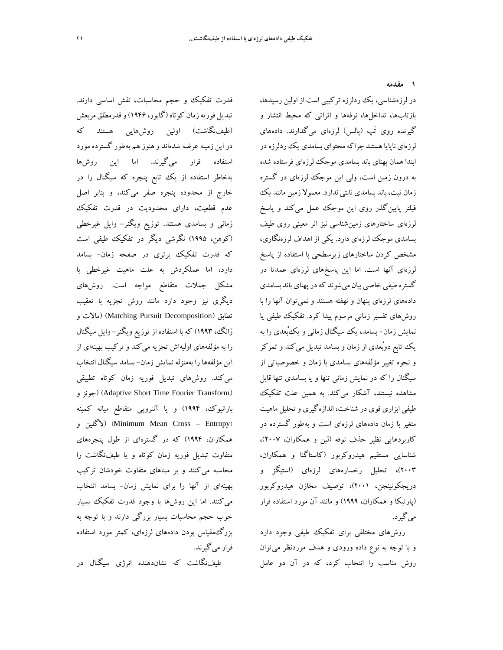**1 مقدمه** 

قدرت تفكيك و حجم محاسبات، نقش اساسي دارند. تبديل فوريه زمان كوتاه (گابور، ۱۹۴۶) و قدرمطلق مربعش (طيفنگاشت) اولين روشهايي هستند كه در اين زمينه عرضه شدهاند و هنوز هم بهطور گسترده مورد استفاده قرار ميگيرند. اما اين روشها بهخاطر استفاده از يك تابع پنجره كه سيگنال را در خارج از محدوده پنجره صفر ميكند، و بنابر اصل عدم قطعيت، داراي محدوديت در قدرت تفكيك زماني و بسامدي هستند. توزيع ويگنر- وايل غيرخطي (كوهن، 1995) نگرشي ديگر در تفكيك طيفي است كه قدرت تفكيك برتري در صفحه زمان- بسامد دارد، اما عملكردش به علت ماهيت غيرخطي با مشكل جملات متقاطع مواجه است. روشهاي ديگري نيز وجود دارد مانند روش تجزيه با تعقيب تطابق (Decomposition Pursuit Matching) (مالات و ژانگ، 1993) كه با استفاده از توزيع ويگنر- وايل سيگنال را به مؤلفههاي اوليهاش تجزيه ميكند و تركيب بهينهاي از اين مؤلفهها را بهمنزله نمايش زمان- بسامد سيگنال انتخاب ميكند. روشهاي تبديل فوريه زمان كوتاه تطبيقي و جونز) (Adaptive Short Time Fourier Transform) بارانيوك، 1994) و يا آنتروپي متقاطع ميانه كمينه و لاگلين) (Minimum Mean Cross – Entropy) همكاران، 1994) كه در گسترهاي از طول پنجرههاي متفاوت تبديل فوريه زمان كوتاه و يا طيفنگاشت را محاسبه ميكنند و بر مبناهاي متفاوت خودشان تركيب بهينهاي از آنها را براي نمايش زمان- بسامد انتخاب ميكنند. اما اين روشها با وجود قدرت تفكيك بسيار خوب حجم محاسبات بسيار بزرگي دارند و با توجه به بزرگمقياس بودن دادههاي لرزهاي، كمتر مورد استفاده قرار ميگيرند.

طيفنگاشت كه نشاندهنده انرژي سيگنال در

در لرزهشناسي، يك ردلرزه تركيبي است از اولين رسيدها، بازتابها، تداخلها، نوفهها و اثراتي كه محيط انتشار و گيرنده روي َتپ (پالس) لرزهاي ميگذارند. دادههاي لرزهاي ناپاياهستند چراكهمحتواي بسامدي يكردلرزهدر ابتدا همان پهناي باند بسامدي موجك لرزهاي فرستاده شده به درون زمين است، ولي اين موجك لرزهاي در گستره زمان ثبت، باند بسامدي ثابتي ندارد. معمولا زمين مانند يك فيلتر پايينگذر روي اين موجك عمل ميكند و پاسخ لرزهاي ساختارهاي زمينشناسي نيز اثر معيني روي طيف بسامدي موجك لرزهاي دارد. يكي از اهداف لرزهنگاري، مشخص كردن ساختارهاي زيرسطحي با استفاده از پاسخ لرزهاي آنها است. اما اين پاسخهاي لرزهاي عمدتا در گستره طيفي خاصي بيان مي شوند كه در پهناي باند بسامدي دادههاي لرزهاي پنهان و نهفته هستند و نميتوان آنها را با روشهاي تفسير زماني مرسوم پيدا كرد. تفكيك طيفي يا نمايش زمان- بسامد، يك سيگنال زماني و يكبُعدي را به يك تابع دوبُعدي از زمان و بسامد تبديل ميكند و تمركز و نحوه تغيير مؤلفههاي بسامدي با زمان و خصوصياتي از سيگنال را كه در نمايش زماني تنها و يا بسامدي تنها قابل مشاهده نيستند، آشكار ميكند. به همين علت تفكيك طيفي ابزاري قوي در شناخت، اندازهگيري وتحليل ماهيت متغير با زمان دادههاي لرزهاي است و بهطور گسترده در كاربردهايي نظير حذف نوفه (لين و همكاران، 2007)، شناسايي مستقيم هيدروكربور (كاستاگنا و همكاران، 2003)، تحليل رخسارههاي لرزهاي (استيگز و دريجكونينجن، 2001)، توصيف مخازن هيدروكربور (پارتيكا و همكاران، 1999) و مانند آن مورد استفاده قرار ميگيرد.

روشهاي مختلفي براي تفكيك طيفي وجود دارد و با توجه به نوع داده ورودي و هدف موردنظر ميتوان روش مناسب را انتخاب كرد، كه در آن دو عامل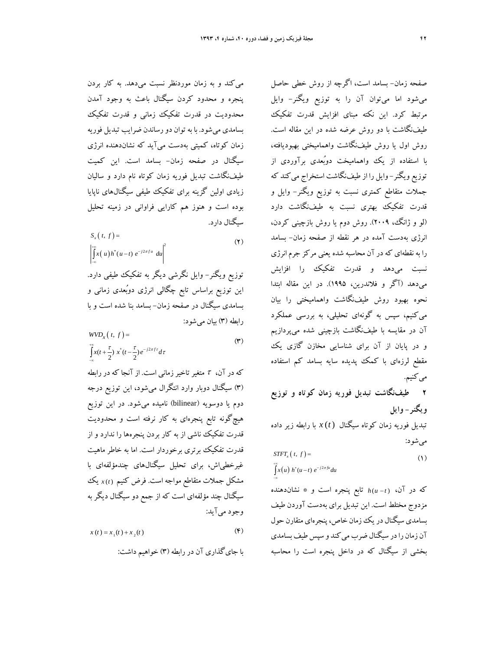ميكند و به زمان موردنظر نسبت ميدهد. به كار بردن پنجره و محدود كردن سيگنال باعث به وجود آمدن محدوديت در قدرت تفكيك زماني و قدرت تفكيك بسامدي ميشود. با به توان دورساندن ضرايب تبديل فوريه زمان كوتاه، كميتي بهدست ميآيد كه نشاندهنده انرژي سيگنال در صفحه زمان- بسامد است. اين كميت طيفنگاشت تبديل فوريه زمان كوتاه نام دارد و ساليان زيادي اولين گزينه براي تفكيك طيفي سيگنالهاي ناپايا بوده است و هنوز هم كارايي فراواني در زمينه تحليل سيگنال دارد.

$$
S_x(t, f) =
$$
  

$$
\left| \int_{-\infty}^{+\infty} x(u) h^*(u-t) e^{-j2\pi f u} du \right|^2
$$
 (Y)

توزيع ويگنر- وايل نگرشي ديگر به تفكيك طيفي دارد. اين توزيع براساس تابع چگالي انرژي دوبُعدي زماني و بسامدي سيگنال در صفحه زمان- بسامد بنا شده است و با رابطه (3) بيان ميشود:

$$
WVDx(t, f) =
$$
  

$$
\int_{-\infty}^{+\infty} x(t + \frac{\tau}{2}) x^*(t - \frac{\tau}{2}) e^{-j2\pi f \tau} d\tau
$$
 (\*)

كهدرآن، متغيرتاخيرزماني است. ازآنجا كهدررابطه (3) سيگنال دوبار وارد انتگرال ميشود، اين توزيع درجه دوم يا دوسويه (bilinear (ناميده ميشود. در اين توزيع هيچگونه تابع پنجرهاي به كار نرفته است و محدوديت قدرت تفكيك ناشي از به كار بردن پنجرهها را ندارد و از قدرت تفكيك برتري برخوردار است. اما به خاطر ماهيت غيرخطياش، براي تحليل سيگنالهاي چندمؤلفهاي با مشكل جملات متقاطع مواجه است. فرض كنيم *t* ( )*x* يك سيگنال چند مؤلفهاي است كه از جمع دو سيگنال ديگر به وجود ميآيد:

$$
x(t) = x_1(t) + x_2(t)
$$
 (F)

با جايگذاري آن در رابطه (3) خواهيم داشت:

صفحه زمان- بسامد است، اگرچه از روش خطي حاصل ميشود اما ميتوان آن را به توزيع ويگنر- وايل مرتبط كرد. اين نكته مبناي افزايش قدرت تفكيك طيفنگاشت با دو روش عرضه شده در اين مقاله است. روش اول يا روش طيفنگاشت واهماميختي بهبوديافته، با استفاده از يك واهماميخت دوبُعدي برآوردي از توزيع ويگنر- وايل را از طيفنگاشت استخراج ميكند كه جملات متقاطع كمتري نسبت به توزيع ويگنر- وايل و قدرت تفكيك بهتري نسبت به طيفنگاشت دارد (لو و ژانگ، 2009). روش دوم يا روش بازچيني كردن، انرژي بهدست آمده در هر نقطه از صفحه زمان- بسامد را به نقطهاي كهدرآن محاسبه شده يعني مركز جرمانرژي نسبت ميدهد و قدرت تفكيك را افزايش ميدهد (آگر و فلاندرين، 1995). در اين مقاله ابتدا نحوه بهبود روش طيفنگاشت واهماميختي را بيان ميكنيم، سپس به گونهاي تحليلي، به بررسي عملكرد آن در مقايسه با طيفنگاشت بازچيني شده ميپردازيم و در پايان از آن براي شناسايي مخازن گازي يك مقطع لرزهاي با كمك پديده سايه بسامد كم استفاده مي كنيم.

**2 طيفنگاشت تبديل فوريه زمان كوتاه و توزيع ويگنر- وايل** 

تبديل فوريه زمان كوتاه سيگنال *t* ( )*x* با رابطه زير داده ميشود:

 $(t, f) =$  (1)  $\int_{0}^{+\infty} x(u) h^{*}(u-t) e^{-j2\pi fu} du$  $STFT$ <sub>x</sub> $(t, f)$  =  $-\infty$ 

كه در آن، ( ) *t hu* تابع پنجره است و \* نشاندهنده مزدوج مختلط است. اين تبديل براي بهدست آوردن طيف بسامدي سيگنال در يك زمان خاص، پنجرهاي متقارن حول آن زمان را در سيگنال ضرب مي كند و سپس طيف بسامدي بخشي از سيگنال كه در داخل پنجره است را محاسبه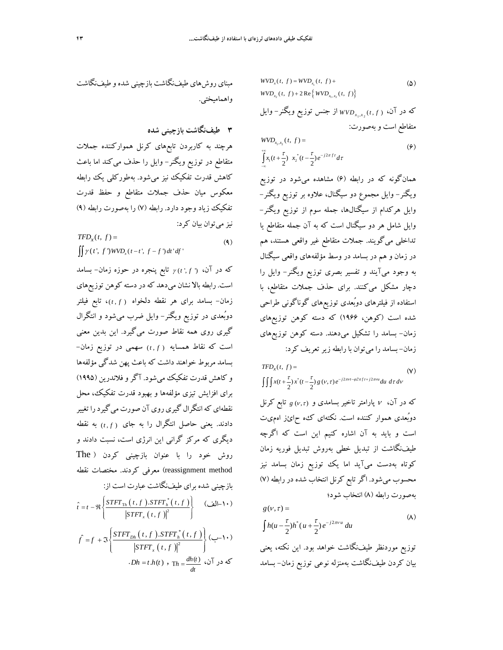مبناي روشهاي طيفنگاشت بازچيني شدهو طيفنگاشت واهماميختي.

**3 طيفنگاشت بازچيني شده** 

هرچند به كاربردن تابعهاي كرنل همواركننده جملات متقاطع در توزيع ويگنر- وايل را حذف ميكند اما باعث كاهش قدرت تفكيك نيز ميشود. بهطوركلي يك رابطه معكوس ميان حذف جملات متقاطع و حفظ قدرت تفكيك زياد وجود دارد. رابطه (7) را بهصورت رابطه (9) نيز مي توان بيان كرد:

$$
TFD_x(t, f) =
$$
  

$$
\iint \gamma(t', f') W V D_x(t-t', f-f') dt' df'
$$
 (4)

كه در آن، *f t* ') , ( ' تابع پنجره در حوزه زمان- بسامد است. رابطه بالا نشان ميدهد كه در دسته كوهن توزيعهاي زمان- بسامد براي هر نقطه دلخواه *f t* ) , (، تابع فيلتر دوبُعدي در توزيع ويگنر- وايل ضرب ميشود و انتگرال گيري روي همه نقاط صورت ميگيرد. اين بدين معني است كه نقاط همسايه *f t* ) , (سهمي در توزيع زمان- بسامد مربوط خواهند داشت كه باعث پهن شدگي مؤلفهها و كاهش قدرت تفكيك ميشود. آگروفلاندرين (1995) براي افزايش تيزي مؤلفهها و بهبود قدرت تفكيك، محل نقطهاي كه انتگرال گيري روي آن صورت ميگيرد را تغيير دادند. يعني حاصل انتگرال را به جاي *f t* ) , (به نقطه ديگري كه مركز گراني اين انرژي است، نسبت دادند و روش خود را با عنوان بازچيني كردن ( The reassignment method) معرفي كردند. مختصات نقطه بازچيني شده براي طيفنگاشت عبارت است از:

$$
\hat{t} = t - \Re \left\{ \frac{STFT_{\text{Th}}(t, f) \cdot STFT_h^*(t, f)}{|STFT_x(t, f)|^2} \right\} \quad (\text{d}-1)
$$
\n
$$
\hat{f} = f + \Im \left\{ \frac{STFT_{\text{D}h}(t, f) \cdot STFT_h^*(t, f)}{|STFT_x(t, f)|^2} \right\} \quad (-1)
$$
\n
$$
\cdot Dh = t \cdot h(t) \cdot \text{Th} = \frac{dh(t)}{dt} \quad \text{if} \quad \text{or} \quad \text{for } t \in \mathbb{R} \text{ and } \text{for } t \in \mathbb{R} \text{ and } \text{for } t \in \mathbb{R} \text{ and } \text{for } t \in \mathbb{R} \text{ and } \text{for } t \in \mathbb{R} \text{ and } \text{for } t \in \mathbb{R} \text{ and } \text{for } t \in \mathbb{R} \text{ and } \text{for } t \in \mathbb{R} \text{ and } \text{for } t \in \mathbb{R} \text{ and } \text{for } t \in \mathbb{R} \text{ and } \text{for } t \in \mathbb{R} \text{ and } \text{for } t \in \mathbb{R} \text{ and } \text{for } t \in \mathbb{R} \text{ and } \text{for } t \in \mathbb{R} \text{ and } \text{for } t \in \mathbb{R} \text{ and } \text{for } t \in \mathbb{R} \text{ and } \text{for } t \in \mathbb{R} \text{ and } \text{for } t \in \mathbb{R} \text{ and } \text{for } t \in \mathbb{R} \text{ and } \text{for } t \in \mathbb{R} \text{ and } \text{for } t \in \mathbb{R} \text{ and } \text{for } t \in \mathbb{R} \text{ and } \text{for } t \in \mathbb{R} \text{ and } \text{for } t \in \mathbb{R} \text{ and } \text{for } t \in \mathbb{R} \text{ and } \text{for } t \in \mathbb{R} \text{ and } \text{for } t \in \mathbb{R} \text{ and } \text{for } t \in \mathbb{R} \text{ and } \text{for } t \in \mathbb{R} \text{ and } \text{for } t \in \mathbb{R} \text{ and } \text{for
$$

$$
WVD_{x}(t, f) = WVD_{x_{1}}(t, f) +
$$
\n
$$
WVD_{x_{2}}(t, f) + 2 \text{Re}\{WVD_{x_{1}, x_{2}}(t, f)\}
$$
\n
$$
\Delta VDD_{x_{1}, x_{2}}(t, f) \text{ for all } WVD_{x_{1}, x_{2}}(t, f) \text{ for all } x_{1}, x_{2} \text{ for all } x_{1}, x_{2} \text{ for all } x_{1}, x_{2} \text{ for all } x_{1}, x_{2} \text{ for all } x_{1}, x_{2} \text{ for all } x_{1}, x_{2} \text{ for all } x_{1}, x_{2} \text{ for all } x_{1}, x_{2} \text{ for all } x_{2}, x_{2} \text{ for all } x_{2}, x_{2} \text{ for all } x_{2}, x_{2} \text{ for all } x_{2}, x_{2} \text{ for all } x_{2}, x_{2} \text{ for all } x_{2}, x_{2} \text{ for all } x_{2}, x_{2} \text{ for all } x_{2}, x_{2} \text{ for all } x_{2}, x_{2} \text{ for all } x_{2}, x_{2} \text{ for all } x_{2}, x_{2} \text{ for all } x_{2}, x_{2} \text{ for all } x_{2}, x_{2} \text{ for all } x_{2}, x_{2} \text{ for all } x_{2}, x_{2} \text{ for all } x_{2}, x_{2} \text{ for all } x_{2}, x_{2} \text{ for all } x_{2}, x_{2} \text{ for all } x_{2}, x_{2} \text{ for all } x_{2}, x_{2} \text{ for all } x_{2}, x_{2} \text{ for all } x_{2}, x_{2} \text{ for all } x_{2}, x_{2} \text{ for all } x_{2}, x_{2} \text{ for all } x_{2}, x_{2} \text{ for all } x_{2}, x_{2} \text{ for all } x_{2}, x_{2} \text{ for all } x_{2}, x_{2} \text{ for all } x_{2}, x_{2} \text{ for all } x_{2}, x_{2} \text{ for all } x_{2}, x_{2} \text{ for all } x_{2}, x_{2} \text{ for all } x_{2}, x_{2} \text{ for all } x_{2}, x_{2} \text{ for all } x_{2}, x_{2} \text{ for all } x_{2}, x_{2} \text{ for all } x_{2}, x_{2} \text{ for all } x_{2},
$$

$$
WVD_{x_1, x_2}(t, f) =
$$
  
\n
$$
\int_{-\infty}^{+\infty} x_1(t + \frac{\tau}{2}) x_2^*(t - \frac{\tau}{2}) e^{-j2\pi ft} dt
$$
\n(9)

همانگونه كه در رابطه (6) مشاهده ميشود در توزيع ويگنر- وايل مجموع دو سيگنال، علاوه بر توزيع ويگنر- وايل هركدام از سيگنالها، جمله سوم از توزيع ويگنر- وايل شامل هر دو سيگنال است كه به آن جمله متقاطع يا تداخلي ميگويند. جملات متقاطع غير واقعي هستند، هم در زمان و هم در بسامد در وسط مؤلفههاي واقعي سيگنال به وجود ميآيند و تفسير بصري توزيع ويگنر- وايل را دچار مشكل ميكنند. براي حذف جملات متقاطع، با استفاده از فيلترهاي دوبُعدي توزيعهاي گوناگوني طراحي شده است (كوهن، 1966) كه دسته كوهن توزيعهاي زمان- بسامد را تشكيل ميدهند. دسته كوهن توزيعهاي زمان- بسامد را ميتوان با رابطه زيرتعريف كرد:

$$
TFD_x(t, f) = \qquad \qquad \text{(V)}
$$
\n
$$
\iiint x(t + \frac{\tau}{2}) x^*(t - \frac{\tau}{2}) g(v, \tau) e^{-j2\pi vt - \varphi 2\pi ft + j2\pi vu} du \, d\tau \, dv
$$

كه در آن، پارامتر تاخير بسامدي و ) , (*g* تابع كرنل دوبُعدي هموار كننده است. نكتهاي كه حائز اهميت است و بايد به آن اشاره كنيم اين است كه اگرچه طيفنگاشت از تبديل خطي بهروش تبديل فوريه زمان كوتاه بهدست ميآيد اما يك توزيع زمان بسامد نيز محسوب ميشود. اگرتابع كرنل انتخاب شده در رابطه (7) بهصورت رابطه (8) انتخاب شود؛

$$
g(v,\tau) =
$$

$$
\int h(u - \frac{\tau}{2}) h^*(u + \frac{\tau}{2}) e^{-j2\pi vu} du
$$
 (A)

توزيع موردنظر طيفنگاشت خواهد بود. اين نكته، يعني بيان كردن طيفنگاشت بهمنزله نوعي توزيع زمان- بسامد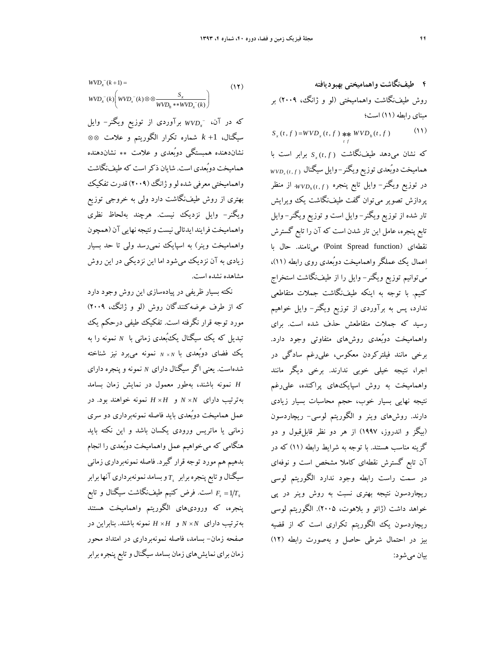**4 طيفنگاشت واهماميختي بهبوديافته**  روش طيفنگاشت واهماميختي (لو و ژانگ، 2009) بر مبناي رابطه (11) است؛  $S_x(t, f) = WVD_x(t, f)$  \*\*  $WVD_h(t, f)$  (11)

*t f*

*tf S* برابر است با *<sup>x</sup>* كه نشان ميدهد طيفنگاشت ( ,) *<sup>x</sup> f t WVD* هماميخت دوبُعدي توزيع ويگنر- وايل سيگنال ( ,) . از منظر *<sup>h</sup> f t WVD* در توزيع ويگنر- وايل تابع پنجره ( ,) پردازش تصوير ميتوان گفت طيفنگاشت يك ويرايش تار شده از توزيع ويگنر- وايل است و توزيع ويگنر- وايل تابع پنجره، عامل اين تار شدن است كه آن را تابع گسترش نقطهاي (function Spread Point (مينامند. حال با اِعمال يك عملگر واهماميخت دوبُعدي روي رابطه (11)، ميتوانيم توزيع ويگنر- وايل را از طيفنگاشت استخراج كنيم. با توجه به اينكه طيفنگاشت جملات متقاطعي ندارد، پس به برآوردي از توزيع ويگنر- وايل خواهيم رسيد كه جملات متقاطعش حذف شده است. براي واهماميخت دوبُعدي روشهاي متفاوتي وجود دارد. برخي مانند فيلتركردن معكوس، عليرغم سادگي در اجرا، نتيجه خيلي خوبي ندارند. برخي ديگر مانند واهماميخت به روش اسپايكهاي پراكنده، عليرغم نتيجه نهايي بسيار خوب، حجم محاسبات بسيار زيادي دارند. روشهاي وينر و الگوريتم لوسي- ريچاردسون (بيگز و اندروز، 1997) از هر دو نظر قابلقبول و دو گزينه مناسب هستند. با توجه به شرايط رابطه (11) كه در آن تابع گسترش نقطهاي كاملا مشخص است و نوفهاي در سمت راست رابطه وجود ندارد الگوريتم لوسي ريچاردسون نتيجه بهتري نسبت به روش وينر در پي خواهد داشت (ژائو و بلاهوت، 2005). الگوريتم لوسي ريچاردسون يك الگوريتم تكراري است كه از قضيه بيز در احتمال شرطي حاصل و بهصورت رابطه (12) بيان ميشود:

$$
WVD_x^-(k+1) = \qquad (15)
$$
  
\n
$$
WVD_x^-(k) \left( WVD_x^-(k) \otimes \otimes \frac{S_x}{WVD_h * \ast WVD_x^-(k)} \right)
$$

*WVDx* كه در آن، برآوردي از توزيع ويگنر- وايل سيگنال، 1 *k* شماره تكرار الگوريتم و علامت نشاندهنده همبستگي دوبُعدي و علامت نشاندهنده هماميخت دوبُعدي است. شايان ذكراست كه طيفنگاشت واهماميختي معرفي شده لو و ژانگ (٢٠٠٩) قدرت تفكيك بهتري از روش طيفنگاشت دارد ولي به خروجي توزيع ويگنر- وايل نزديك نيست. هرچند بهلحاظ نظري واهماميخت فرايند ايدئالي نيست و نتيجه نهايي آن (همچون واهماميخت وينر) به اسپايك نميرسد ولي تا حد بسيار زيادي به آن نزديك ميشود اما اين نزديكي در اين روش مشاهده نشده است.

نكته بسيار ظريفي در پيادهسازي اين روش وجود دارد كه از طرف عرضهكنندگان روش (لو و ژانگ، 2009) مورد توجه قرار نگرفته است. تفكيك طيفي درحكم يك تبديل كه يك سيگنال يكبُعدي زماني با *<sup>N</sup>* نمونه را به يك فضاي دوبُعدي با *<sup>N</sup><sup>N</sup>* نمونه ميبرد نيز شناخته شدهاست. يعني اگر سيگنال داراي *<sup>N</sup>* نمونه و پنجره داراي *H* نمونه باشند، بهطور معمول در نمايش زمان بسامد بهترتيب داراي *N N* و *H H* نمونه خواهند بود. در عمل هماميخت دوبُعدي بايد فاصله نمونهبرداري دو سري زماني يا ماتريس ورودي يكسان باشد و اين نكته بايد هنگامي كه ميخواهيم عمل واهماميخت دوبُعدي را انجام بدهيم هم مورد توجه قرار گيرد. فاصله نمونهبرداري زماني *T* وبسامد نمونهبرداريآنها برابر *<sup>s</sup>* سيگنال وتابع پنجرهبرابر است. فرض كنيم نگاشت سيگنال و تابع *<sup>s</sup> <sup>s</sup> T F* طيف 1 پنجره، كه وروديهاي الگوريتم واهماميخت هستند بهترتيب داراي *N N* و *H H* نمونه باشند. بنابراين در صفحه زمان- بسامد، فاصله نمونهبرداري در امتداد محور زمان براي نمايش،اي زمان بسامد سيگنال و تابع پنجره برابر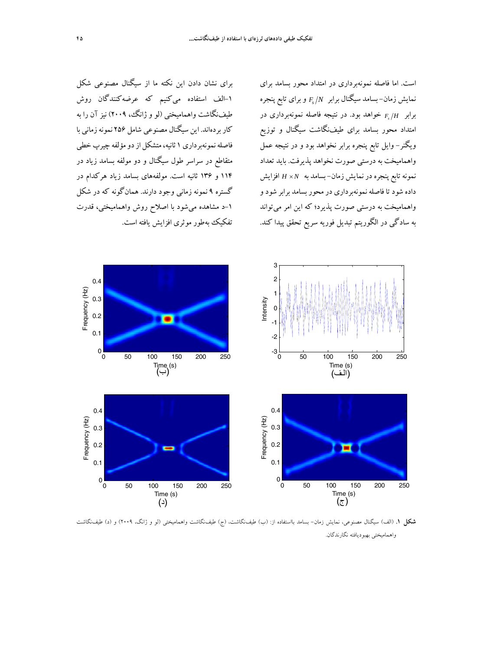است. اما فاصله نمونهبرداري در امتداد محور بسامد براي نمايش زمان– بسامد سيگنال برابر  $F_s/N$  و براى تابع پنجره *H Fs* خواهد بود. در نتيجه فاصله نمونهبرداري در برابر امتداد محور بسامد براي طيفنگاشت سيگنال و توزيع ويگنر- وايل تابع پنجره برابر نخواهد بود و در نتيجه عمل واهماميخت به درستي صورت نخواهد پذيرفت. بايد تعداد نمونهتابع پنجرهدرنمايش زمان- بسامد به *N H* افزايش داده شود تا فاصله نمونهبرداری در محور بسامد برابر شود و واهماميخت به درستي صورت پذيرد؛ كه اين امر ميتواند به سادگي در الگوريتم تبديل فوريه سريع تحقق پيدا كند.

براي نشان دادن اين نكته ما از سيگنال مصنوعي شكل -1الف استفاده ميكنيم كه عرضهكنندگان روش طيفنگاشت واهماميختي (لو و ژانگ، 2009) نيز آن را به كاربردهاند. اين سيگنال مصنوعي شامل 256 نمونهزماني با فاصله نمونهبرداري ١ ثانيه، متشكل از دو مؤلفه چيرپ خطي متقاطع در سراسر طول سيگنال و دو مولفه بسامد زياد در 114 و 136 ثانيه است. مولفههاي بسامد زياد هركدام در گستره 9 نمونه زماني وجود دارند. همانگونه كه در شكل -1د مشاهده ميشود با اصلاح روش واهماميختي، قدرت تفكيك بهطور موثري افزايش يافته است.



**شكل .1** (الف) سيگنال مصنوعي، نمايش زمان- بسامد بااستفاده از: (ب) طيفنگاشت، (ج) طيفنگاشت واهماميختي (لو و ژانگ، 2009) و (د) طيفنگاشت واهماميختي بهبوديافته نگارندگان.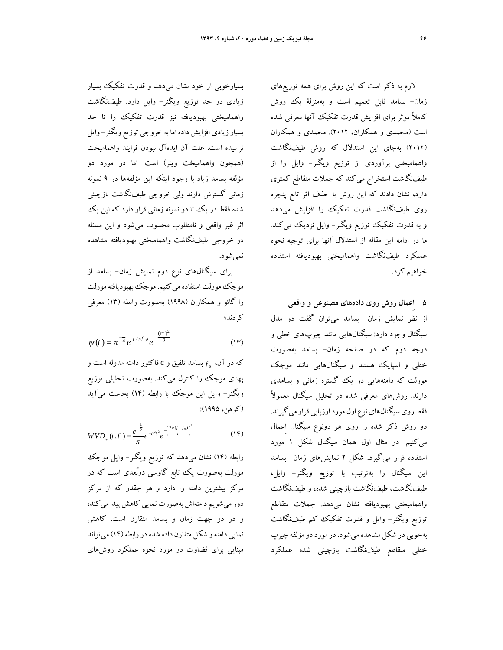لازم به ذكر است كه اين روش براي همه توزيعهاي زمان- بسامد قابل تعميم است و بهمنزلة يك روش كاملاً موثر براي افزايش قدرت تفكيك آنها معرفي شده است (محمدي و همكاران، 2012). محمدي و همكاران (2012) بهجاي اين استدلال كه روش طيفنگاشت واهماميختي برآوردي از توزيع ويگنر- وايل را از طيفنگاشت استخراج ميكند كه جملات متقاطع كمتري دارد، نشان دادند كه اين روش با حذف اثر تابع پنجره روي طيفنگاشت قدرت تفكيك را افزايش ميدهد و به قدرت تفكيك توزيع ويگنر- وايل نزديك ميكند. ما در ادامه اين مقاله از استدلال آنها براي توجيه نحوه عملكرد طيفنگاشت واهماميختي بهبوديافته استفاده خواهيم كرد.

**5 اِعمال روش روي دادههاي مصنوعي و واقعي**  از نظر نمايش زمان- بسامد ميتوان گفت دو مدل سيگنال وجود دارد: سيگنالهايي مانند چيرپهاي خطي و درجه دوم كه در صفحه زمان- بسامد بهصورت خطي و اسپايك هستند و سيگنالهايي مانند موجك مورلت كه دامنههايي در يك گستره زماني و بسامدي دارند. روشهای معرفی شده در تحلیل سیگنال معمولاً فقط روي سيگنالهاي نوع اول مورد ارزيابي قرار مي گيرند. دو روش ذكر شده را روي هر دونوع سيگنال اِعمال ميكنيم. در مثال اول همان سيگنال شكل 1 مورد استفاده قرار ميگيرد. شكل 2 نمايشهاي زمان- بسامد اين سيگنال را بهترتيب با توزيع ويگنر- وايل، طيفنگاشت، طيفنگاشت بازچيني شده، و طيفنگاشت واهماميختي بهبوديافته نشان ميدهد. جملات متقاطع توزيع ويگنر- وايل و قدرت تفكيك كم طيفنگاشت بهخوبي در شكل مشاهده ميشود. درمورددومؤلفه چيرپ خطي متقاطع طيفنگاشت بازچيني شده عملكرد

بسيارخوبي از خود نشان ميدهد و قدرت تفكيك بسيار زيادي در حد توزيع ويگنر- وايل دارد. طيفنگاشت واهماميختي بهبوديافته نيز قدرت تفكيك را تا حد بسيارزيادي افزايش داده اما به خروجي توزيع ويگنر- وايل نرسيده است. علت آن ايدهآل نبودن فرايند واهماميخت (همچون واهماميخت وينر) است. اما در مورد دو مؤلفه بسامد زياد با وجود اينكه اين مؤلفهها در 9 نمونه زماني گسترش دارند ولي خروجي طيفنگاشت بازچيني شده فقط در يك تا دو نمونه زماني قرار دارد كه اين يك اثر غير واقعي و نامطلوب محسوب ميشود و اين مسئله در خروجي طيفنگاشت واهماميختي بهبوديافته مشاهده نميشود.

براي سيگنالهاي نوع دوم نمايش زمان- بسامد از موجك مورلت استفاده مي كنيم. موجك بهبوديافته مورلت را گائو و همكاران (1998) بهصورت رابطه (13) معرفي كردند؛

$$
\psi(t) = \pi^{-\frac{1}{4}} e^{j 2\pi f_0 t} e^{-\frac{(ct)^2}{2}}
$$
 (17)

*<sup>f</sup>* بسامد تلفيق و c فاكتور دامنه مدوله است و <sup>0</sup> كه در آن، پهناي موجك را كنترل ميكند. بهصورت تحليلي توزيع ويگنر- وايل اين موجك با رابطه (14) بهدست ميآيد (كوهن، 1995):

$$
WVD_{\psi}(t,f) = \frac{c^{-\frac{1}{2}}}{\pi}e^{-c^{2}t^{2}}e^{-\left(\frac{2\pi(f-f_{0})}{c}\right)^{2}}
$$
(15)

رابطه (14) نشان ميدهد كه توزيع ويگنر- وايل موجك مورلت بهصورت يك تابع گاوسي دوبُعدي است كه در مركز بيشترين دامنه را دارد و هر چقدر كه از مركز دورميشويم دامنهاش بهصورت نمايي كاهش پيدا ميكند، و در دو جهت زمان و بسامد متقارن است. كاهش نمايي دامنهو شكل متقارن داده شدهدررابطه (14) ميتواند مبنايي براي قضاوت در مورد نحوه عملكرد روشهاي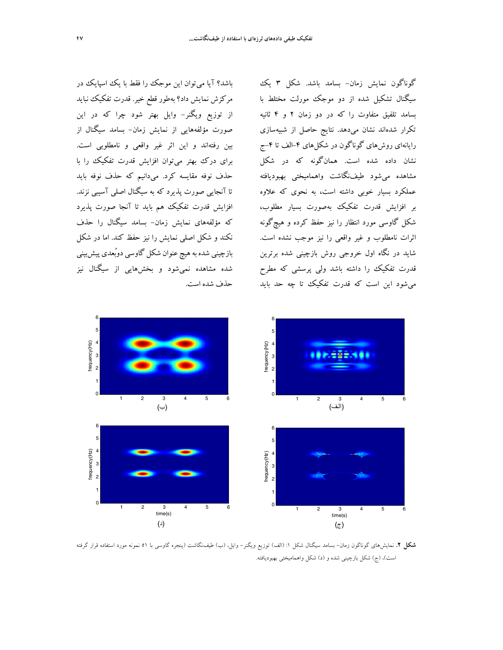باشد؟ آيا ميتوان اين موجك را فقط با يك اسپايك در مركزش نمايش داد؟ بهطور قطع خير. قدرت تفكيك نبايد از توزيع ويگنر- وايل بهتر شود چرا كه در اين صورت مؤلفههايي از نمايش زمان- بسامد سيگنال از بين رفتهاند و اين اثر غير واقعي و نامطلوبي است. براي درك بهتر ميتوان افزايش قدرت تفكيك را با حذف نوفه مقايسه كرد. ميدانيم كه حذف نوفه بايد تا آنجايي صورت پذيرد كه به سيگنال اصلي آسيبي نزند. افزايش قدرت تفكيك هم بايد تا آنجا صورت پذيرد كه مؤلفههاي نمايش زمان- بسامد سيگنال را حذف نكند و شكل اصلي نمايش را نيز حفظ كند. اما در شكل بازچيني شده به هيچ عنوان شكل گاوسي دوبُعدي پيشبيني شده مشاهده نميشود و بخشهايي از سيگنال نيز حذف شده است.

گوناگون نمايش زمان- بسامد باشد. شكل 3 يك سيگنال تشكيل شده از دو موجك مورلت مختلط با بسامد تلفيق متفاوت را كه در دو زمان 2 و 4 ثانيه تكرار شدهاند نشان ميدهد. نتايج حاصل از شبيهسازي رايانهاي روشهاي گوناگون در شكلهاي ۴-الف تا ۴-ج نشان داده شده است. همانگونه كه در شكل مشاهده ميشود طيفنگاشت واهماميختي بهبوديافته عملكرد بسيار خوبي داشته است، به نحوي كه علاوه بر افزايش قدرت تفكيك بهصورت بسيار مطلوب، شكل گاوسي مورد انتظار را نيز حفظ كرده و هيچگونه اثرات نامطلوب و غير واقعي را نيز موجب نشده است. شايد در نگاه اول خروجي روش بازچيني شده برترين قدرت تفكيك را داشته باشد ولي پرسشي كه مطرح ميشود اين است كه قدرت تفكيك تا چه حد بايد



**شكل .2** نمايشهاي گوناگون زمان- بسامد سيگنال شكل :1 (الف) توزيع ويگنر- وايل، (ب) طيفنگاشت (پنجره گاوسي با 51 نمونه مورد استفاده قرار گرفته است)، (ج) شكل بازچيني شده و (د) شكل واهماميختي بهبوديافته.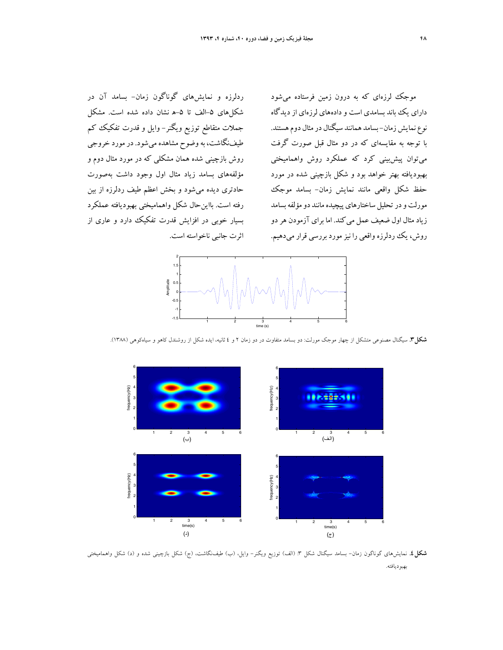ردلرزه و نمايشهاي گوناگون زمان- بسامد آن در شكلهاي ۵-الف تا ۵-ه نشان داده شده است. مشكل جملات متقاطع توزيع ويگنر- وايل و قدرت تفكيك كم طيفنگاشت، بهوضوح مشاهده ميشود. درمورد خروجي روش بازچيني شده همان مشكلي كه در مورد مثال دوم و مؤلفههاي بسامد زياد مثال اول وجود داشت بهصورت حادتري ديده ميشود و بخش اعظم طيف ردلرزه از بين رفته است. بااينحال شكل واهماميختي بهبوديافته عملكرد بسيار خوبي در افزايش قدرت تفكيك دارد و عاري از

موجك لرزهاي كه به درون زمين فرستاده ميشود داراي يك باند بسامدي است و دادههاي لرزهاي از ديدگاه نوع نمايش زمان-بسامد همانند سيگنال در مثال دوم هستند. با توجه به مقايسهاي كه در دو مثال قبل صورت گرفت ميتوان پيشبيني كرد كه عملكرد روش واهماميختي بهبوديافته بهتر خواهد بود و شكل بازچيني شده در مورد حفظ شكل واقعي مانند نمايش زمان- بسامد موجك مورلت و در تحليل ساختارهاي پيچيده مانند دو مؤلفه بسامد زيادمثال اول ضعيف عمل ميكند. اما براي آزمودن هردو روش، يك ردلرزه واقعى را نيز مورد بررسى قرار مىدهيم. اثرت جانبي ناخواسته است.



**شكل.3** سيگنال مصنوعي متشكل از چهار موجك مورلت: دو بسامد متفاوت در دو زمان 2 و 4 ثانيه، ايده شكل از روشندل كاهو و سياهكوهي (1388).



**شكل.4** نمايشهاي گوناگون زمان- بسامد سيگنال شكل :3 (الف) توزيع ويگنر- وايل، (ب) طيفنگاشت، (ج) شكل بازچيني شده و (د) شكل واهماميختي بهبوديافته.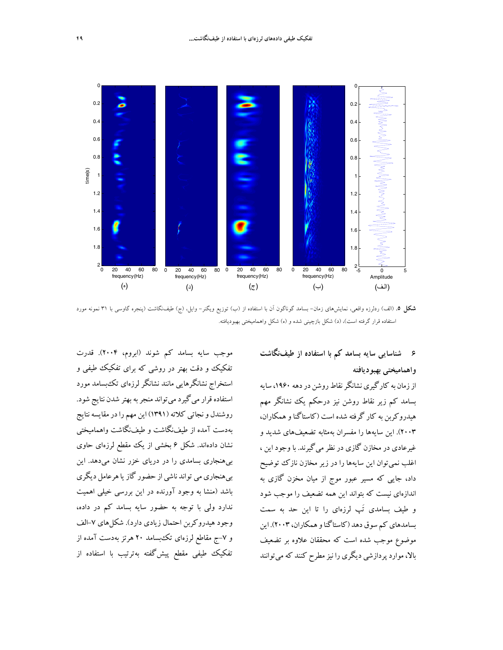



**شكل .5** (الف) ردلرزه واقعي، نمايشهاي زمان- بسامد گوناگون آن با استفاده از (ب) توزيع ويگنر- وايل، (ج) طيفنگاشت (پنجره گاوسي با 31 نمونه مورد استفاده قرار گرفته است)، (د) شكل بازچيني شده و (ه) شكل واهماميختي بهبوديافته.

## **6 شناسايي سايه بسامد كم با استفاده از طيفنگاشت**

0

# **واهماميختي بهبوديافته**

اززمان به كارگيرينشانگرنقاطروشن دردهه ،1960 سايه بسامد كم زير نقاط روشن نيز درحكم يك نشانگر مهم هيدروكربن به كار گرفته شده است (كاستاگنا وهمكاران، 2003). اين سايهها را مفسران بهمثابه تضعيفهاي شديد و غيرعادي در مخازن گازي در نظرميگيرند. با وجود اين ، اغلب نميتوان اين سايهها را در زير مخازن نازك توضيح داد، جايي كه مسير عبور موج از ميان مخزن گازي به اندازهاي نيست كه بتواند اين همه تضعيف را موجب شود و طيف بسامدي َتپ لرزهاي را تا اين حد به سمت بسامدهايكم سوق دهد (كاستاگناوهمكاران، 2003). اين موضوع موجب شده است كه محققان علاوه بر تضعيف بالا، مواردپردازشي ديگري را نيزمطرح كنند كهميتوانند

موجب سايه بسامد كم شوند (ابروم، 2004). قدرت تفكيك و دقت بهتر در روشي كه براي تفكيك طيفي و استخراج نشانگرهايي مانند نشانگر لرزهاي تكبسامد مورد استفاده قرار مي گيرد مي تواند منجر به بهتر شدن نتايج شود. روشندل ونجاتي كلاته (1391) اين مهم رادرمقايسهنتايج بهدست آمده از طيفنگاشت و طيفنگاشت واهماميختي نشان دادهاند. شكل 6 بخشي از يك مقطع لرزهاي حاوي بيهنجاري بسامدي را در درياي خزر نشان ميدهد. اين بيهنجاري مي تواند ناشي از حضور گازياهرعامل ديگري باشد (منشا به وجود آورنده در اين بررسي خيلي اهميت ندارد ولي با توجه به حضور سايه بسامد كم در داده، وجود هيدروكربن احتمال زيادي دارد). شكلهاي -7الف و ۷–ج مقاطع لرزهاي تكءبسامد ۲۰ هرتز بهدست آمده از تفكيك طيفي مقطع پيشگفته بهترتيب با استفاده از

0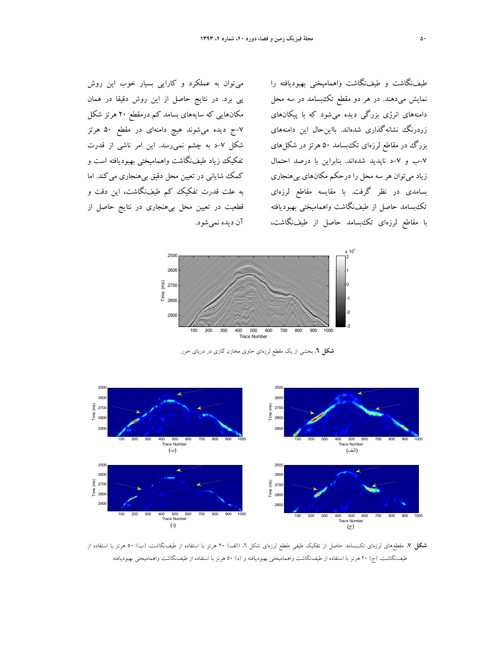ميتوان به عملكرد و كارايي بسيار خوب اين روش پي برد. در نتايج حاصل از اين روش دقيقا در همان مكانهايي كه سايههاي بسامد كم درمقطع 20 هرتز شكل -7ج ديده ميشوند هيچ دامنهاي در مقطع 50 هرتز شكل -7د به چشم نميرسد. اين امر ناشي از قدرت تفكيك زياد طيفنگاشت واهماميختي بهبوديافته است و كمك شاياني در تعيين محل دقيق بي هنجاري مي كند. اما به علت قدرت تفكيك كم طيفنگاشت، اين دقت و قطعيت در تعيين محل بيهنجاري در نتايج حاصل از آن ديده نميشود.

طيفنگاشت و طيفنگاشت واهماميختي بهبوديافته را نمايش ميدهند. در هر دو مقطع تكبسامد در سه محل دامنههاي انرژي بزرگي ديده ميشود كه با پيكانهاي زردرنگ نشانهگذاري شدهاند. بااينحال اين دامنههاي بزرگ در مقاطع لرزهای تك بسامد ۵۰ هرتز در شكل های -7ب و -7د ناپديد شدهاند. بنابراين با درصد احتمال زياد ميتوان هر سه محل را درحكم مكانهاي بيهنجاري بسامدي در نظر گرفت. با مقايسه مقاطع لرزهاي تكبسامد حاصل از طيفنگاشت واهماميختي بهبوديافته با مقاطع لرزهاي تكبسامد حاصل از طيفنگاشت،



**شكل .6** بخشي از يك مقطع لرزهاي حاوي مخازن گازي در درياي خزر.



**شكل .7** مقطعهاي لرزهاي تكبسامد حاصل از تفكيك طيفي مقطع لرزهاي شكل ،6 (الف) 20 هرتز با استفاده از طيفنگاشت، (ب) 50 هرتز با استفاده از طيفنگاشت، (ج) 20 هرتز با استفاده از طيفنگاشت واهماميختي بهبوديافته <sup>و</sup> (د) 50 هرتز با استفاده از طيفنگاشت واهماميختي بهبوديافته.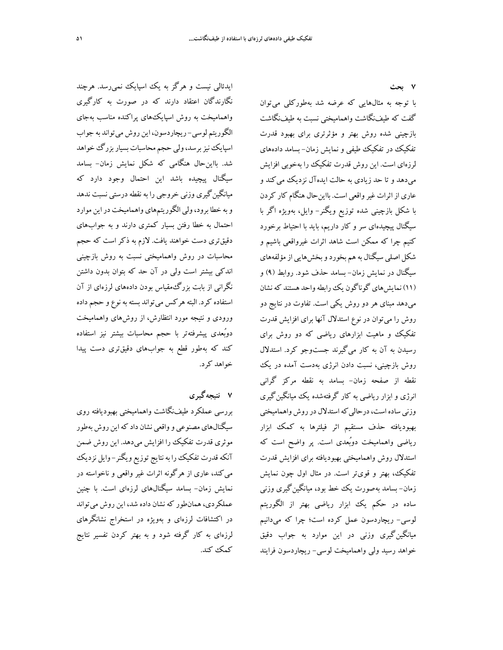**7 بحث** 

با توجه به مثالهايي كه عرضه شد بهطوركلي ميتوان گفت كه طيفنگاشت واهماميختي نسبت به طيفنگاشت بازچيني شده روش بهتر و مؤثرتري براي بهبود قدرت تفكيك در تفكيك طيفي و نمايش زمان- بسامد دادههاي لرزهاي است. اين روش قدرت تفكيك را بهخوبي افزايش ميدهد و تا حد زيادي به حالت ايدهآل نزديك ميكند و عاري ازاثرات غيرواقعي است. بااينحال هنگام كار كردن با شكل بازچيني شده توزيع ويگنر- وايل، بهويژه اگر با سيگنال پيچيدهاي سر و كار داريم، بايد با احتياط برخورد كنيم چرا كه ممكن است شاهد اثرات غيرواقعي باشيم و شكل اصلي سيگنال به هم بخورد و بخشهايي از مؤلفههاي سيگنال در نمايش زمان- بسامد حذف شود. روابط (9) و (11) نمايشهاي گوناگون يكرابطهواحد هستند كهنشان ميدهد مبناي هر دو روش يكي است. تفاوت در نتايج دو روش را ميتوان در نوع استدلال آنها براي افزايش قدرت تفكيك و ماهيت ابزارهاي رياضي كه دو روش براي رسيدن به آن به كار ميگيرند جستوجو كرد. استدلال روش بازچيني، نسبت دادن انرژي بهدست آمده در يك نقطه از صفحه زمان- بسامد به نقطه مركز گراني انرژي و ابزار رياضي به كار گرفتهشده يك ميانگينگيري وزني ساده است، درحالي كه استدلال در روش واهماميختي بهبوديافته حذف مستقيم اثر فيلترها به كمك ابزار رياضي واهماميخت دوبُعدي است. پر واضح است كه استدلال روش واهماميختي بهبوديافته براي افزايش قدرت تفكيك، بهتر و قويتر است. در مثال اول چون نمايش زمان- بسامد بهصورت يك خط بود، ميانگينگيري وزني ساده در حكم يك ابزار رياضي بهتر از الگوريتم لوسي- ريچاردسون عمل كرده است؛ چرا كه ميدانيم ميانگينگيري وزني در اين موارد به جواب دقيق خواهد رسيد ولي واهماميخت لوسي- ريچاردسون فرايند

ايدئالي نيست و هرگز به يك اسپايك نميرسد. هرچند نگارندگان اعتقاد دارند كه در صورت به كارگيري واهماميخت به روش اسپايكهاي پراكنده مناسب بهجاي الگوريتم لوسي- ريچاردسون، اين روش ميتواند به جواب اسپايك نيز برسد،ولي حجم محاسبات بسيار بزرگ خواهد شد. بااينحال هنگامي كه شكل نمايش زمان- بسامد سيگنال پيچيده باشد اين احتمال وجود دارد كه ميانگينگيري وزني خروجي را به نقطه درستي نسبت ندهد وبه خطا برود،ولي الگوريتمهاي واهماميخت دراين موارد احتمال به خطا رفتن بسيار كمتري دارند و به جوابهاي دقيقتري دست خواهند يافت. لازم به ذكر است كه حجم محاسبات در روش واهماميختي نسبت به روش بازچيني اندكي بيشتر است ولي در آن حد كه بتوان بدون داشتن نگراني از بابت بزرگمقياس بودن دادههاي لرزهاي از آن استفاده كرد. البتههركس ميتواند بستهبه نوع و حجم داده ورودي و نتيجه مورد انتظارش، از روشهاي واهماميخت دوبُعدي پيشرفتهتر با حجم محاسبات بيشتر نيز استفاده كند كه بهطور قطع به جوابهاي دقيقتري دست پيدا خواهد كرد.

# **7 نتيجهگيري**

بررسي عملكرد طيفنگاشت واهماميختي بهبوديافته روي سيگنالهاي مصنوعي و واقعي نشان داد كه اين روش بهطور موثري قدرت تفكيك را افزايش ميدهد. اين روش ضمن آنكهقدرت تفكيكرا بهنتايج توزيع ويگنر- وايل نزديك ميكند، عاري از هرگونه اثرات غير واقعي و ناخواسته در نمايش زمان- بسامد سيگنالهاي لرزهاي است. با چنين عملكردي، همانطور كه نشان داده شد، اين روش ميتواند در اكتشافات لرزهاي و بهويژه در استخراج نشانگرهاي لرزهاي به كار گرفته شود و به بهتر كردن تفسير نتايج كمك كند.